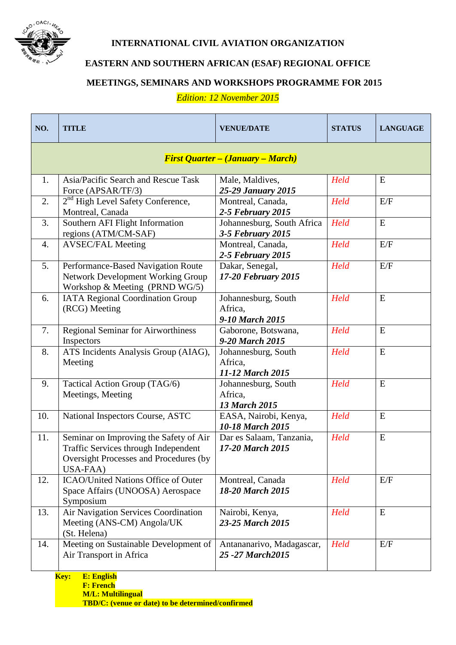

## **INTERNATIONAL CIVIL AVIATION ORGANIZATION**

**EASTERN AND SOUTHERN AFRICAN (ESAF) REGIONAL OFFICE**

## **MEETINGS, SEMINARS AND WORKSHOPS PROGRAMME FOR 2015**

*Edition: 12 November 2015*

| NO. | <b>TITLE</b>                                                                                                                         | <b>VENUE/DATE</b>                                      | <b>STATUS</b> | <b>LANGUAGE</b> |  |  |
|-----|--------------------------------------------------------------------------------------------------------------------------------------|--------------------------------------------------------|---------------|-----------------|--|--|
|     | <b>First Quarter - (January - March)</b>                                                                                             |                                                        |               |                 |  |  |
| 1.  | Asia/Pacific Search and Rescue Task<br>Force (APSAR/TF/3)                                                                            | Male, Maldives,<br>25-29 January 2015                  | Held          | E               |  |  |
| 2.  | 2 <sup>nd</sup> High Level Safety Conference,<br>Montreal, Canada                                                                    | Montreal, Canada,<br>2-5 February 2015                 | Held          | E/F             |  |  |
| 3.  | Southern AFI Flight Information<br>regions (ATM/CM-SAF)                                                                              | Johannesburg, South Africa<br>3-5 February 2015        | Held          | ${\bf E}$       |  |  |
| 4.  | <b>AVSEC/FAL Meeting</b>                                                                                                             | Montreal, Canada,<br><b>2-5 February 2015</b>          | Held          | E/F             |  |  |
| 5.  | Performance-Based Navigation Route<br><b>Network Development Working Group</b><br>Workshop & Meeting (PRND WG/5)                     | Dakar, Senegal,<br>17-20 February 2015                 | Held          | E/F             |  |  |
| 6.  | <b>IATA Regional Coordination Group</b><br>(RCG) Meeting                                                                             | Johannesburg, South<br>Africa.<br>9-10 March 2015      | Held          | E               |  |  |
| 7.  | <b>Regional Seminar for Airworthiness</b><br>Inspectors                                                                              | Gaborone, Botswana,<br>9-20 March 2015                 | Held          | ${\bf E}$       |  |  |
| 8.  | ATS Incidents Analysis Group (AIAG),<br>Meeting                                                                                      | Johannesburg, South<br>Africa,<br>11-12 March 2015     | Held          | ${\bf E}$       |  |  |
| 9.  | Tactical Action Group (TAG/6)<br>Meetings, Meeting                                                                                   | Johannesburg, South<br>Africa,<br><b>13 March 2015</b> | Held          | E               |  |  |
| 10. | National Inspectors Course, ASTC                                                                                                     | EASA, Nairobi, Kenya,<br>10-18 March 2015              | Held          | E               |  |  |
| 11. | Seminar on Improving the Safety of Air<br>Traffic Services through Independent<br>Oversight Processes and Procedures (by<br>USA-FAA) | Dar es Salaam, Tanzania,<br>17-20 March 2015           | Held          | E               |  |  |
| 12. | <b>ICAO/United Nations Office of Outer</b><br>Space Affairs (UNOOSA) Aerospace<br>Symposium                                          | Montreal, Canada<br>18-20 March 2015                   | Held          | E/F             |  |  |
| 13. | Air Navigation Services Coordination<br>Meeting (ANS-CM) Angola/UK<br>(St. Helena)                                                   | Nairobi, Kenya,<br>23-25 March 2015                    | Held          | E               |  |  |
| 14. | Meeting on Sustainable Development of<br>Air Transport in Africa                                                                     | Antananarivo, Madagascar,<br>25 - 27 March 2015        | Held          | E/F             |  |  |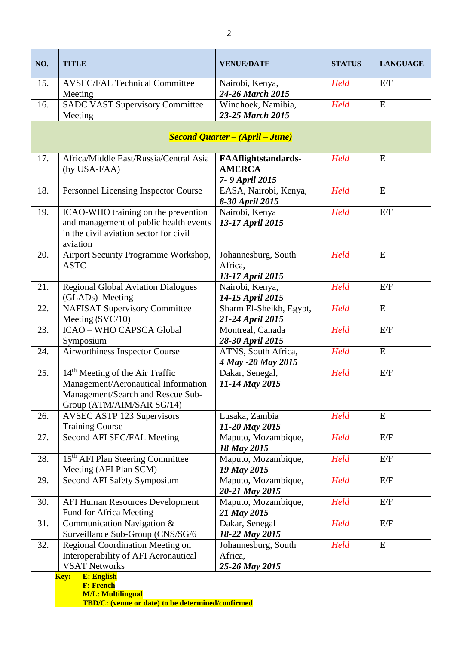| NO. | <b>TITLE</b>                                                                                                                                         | <b>VENUE/DATE</b>                                             | <b>STATUS</b> | <b>LANGUAGE</b> |
|-----|------------------------------------------------------------------------------------------------------------------------------------------------------|---------------------------------------------------------------|---------------|-----------------|
| 15. | <b>AVSEC/FAL Technical Committee</b><br>Meeting                                                                                                      | Nairobi, Kenya,<br>24-26 March 2015                           | Held          | E/F             |
| 16. | <b>SADC VAST Supervisory Committee</b><br>Meeting                                                                                                    | Windhoek, Namibia,<br>23-25 March 2015                        | Held          | ${\bf E}$       |
|     |                                                                                                                                                      | <b>Second Quarter – (April – June)</b>                        |               |                 |
| 17. | Africa/Middle East/Russia/Central Asia<br>(by USA-FAA)                                                                                               | <b>FAAflightstandards-</b><br><b>AMERCA</b><br>7-9 April 2015 | Held          | ${\bf E}$       |
| 18. | Personnel Licensing Inspector Course                                                                                                                 | EASA, Nairobi, Kenya,<br>8-30 April 2015                      | Held          | E               |
| 19. | ICAO-WHO training on the prevention<br>and management of public health events<br>in the civil aviation sector for civil<br>aviation                  | Nairobi, Kenya<br>13-17 April 2015                            | Held          | E/F             |
| 20. | Airport Security Programme Workshop,<br><b>ASTC</b>                                                                                                  | Johannesburg, South<br>Africa.<br>13-17 April 2015            | Held          | E               |
| 21. | <b>Regional Global Aviation Dialogues</b><br>(GLADs) Meeting                                                                                         | Nairobi, Kenya,<br>14-15 April 2015                           | Held          | E/F             |
| 22. | <b>NAFISAT Supervisory Committee</b><br>Meeting (SVC/10)                                                                                             | Sharm El-Sheikh, Egypt,<br>21-24 April 2015                   | Held          | ${\bf E}$       |
| 23. | <b>ICAO - WHO CAPSCA Global</b><br>Symposium                                                                                                         | Montreal, Canada<br>28-30 April 2015                          | Held          | E/F             |
| 24. | Airworthiness Inspector Course                                                                                                                       | ATNS, South Africa,<br>4 May -20 May 2015                     | Held          | ${\bf E}$       |
| 25. | 14 <sup>th</sup> Meeting of the Air Traffic<br>Management/Aeronautical Information<br>Management/Search and Rescue Sub-<br>Group (ATM/AIM/SAR SG/14) | Dakar, Senegal,<br>11-14 May 2015                             | Held          | E/F             |
| 26. | <b>AVSEC ASTP 123 Supervisors</b><br><b>Training Course</b>                                                                                          | Lusaka, Zambia<br>11-20 May 2015                              | Held          | E               |
| 27. | Second AFI SEC/FAL Meeting                                                                                                                           | Maputo, Mozambique,<br>18 May 2015                            | Held          | E/F             |
| 28. | 15 <sup>th</sup> AFI Plan Steering Committee<br>Meeting (AFI Plan SCM)                                                                               | Maputo, Mozambique,<br>19 May 2015                            | Held          | E/F             |
| 29. | Second AFI Safety Symposium                                                                                                                          | Maputo, Mozambique,<br>20-21 May 2015                         | Held          | E/F             |
| 30. | <b>AFI Human Resources Development</b><br>Fund for Africa Meeting                                                                                    | Maputo, Mozambique,<br>21 May 2015                            | Held          | E/F             |
| 31. | Communication Navigation &<br>Surveillance Sub-Group (CNS/SG/6                                                                                       | Dakar, Senegal<br>18-22 May 2015                              | Held          | E/F             |
| 32. | Regional Coordination Meeting on<br>Interoperability of AFI Aeronautical<br><b>VSAT Networks</b>                                                     | Johannesburg, South<br>Africa,<br>25-26 May 2015              | Held          | E               |

**Key: E: English F: French M/L: Multilingual TBD/C: (venue or date) to be determined/confirmed**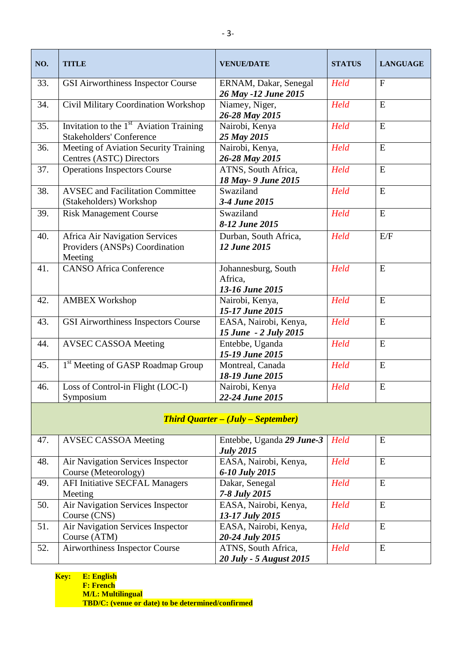| NO.                                       | <b>TITLE</b>                                                                           | <b>VENUE/DATE</b>                                 | <b>STATUS</b> | <b>LANGUAGE</b> |
|-------------------------------------------|----------------------------------------------------------------------------------------|---------------------------------------------------|---------------|-----------------|
| 33.                                       | <b>GSI Airworthiness Inspector Course</b>                                              | ERNAM, Dakar, Senegal<br>26 May -12 June 2015     | Held          | $\mathbf{F}$    |
| 34.                                       | Civil Military Coordination Workshop                                                   | Niamey, Niger,<br>26-28 May 2015                  | Held          | ${\bf E}$       |
| 35.                                       | Invitation to the 1 <sup>st</sup> Aviation Training<br><b>Stakeholders' Conference</b> | Nairobi, Kenya<br>25 May 2015                     | Held          | E               |
| 36.                                       | Meeting of Aviation Security Training<br>Centres (ASTC) Directors                      | Nairobi, Kenya,<br>26-28 May 2015                 | Held          | ${\bf E}$       |
| 37.                                       | <b>Operations Inspectors Course</b>                                                    | ATNS, South Africa,<br>18 May- 9 June 2015        | Held          | E               |
| 38.                                       | <b>AVSEC</b> and Facilitation Committee<br>(Stakeholders) Workshop                     | Swaziland<br>3-4 June 2015                        | Held          | ${\bf E}$       |
| 39.                                       | <b>Risk Management Course</b>                                                          | Swaziland<br>8-12 June 2015                       | Held          | E               |
| 40.                                       | <b>Africa Air Navigation Services</b><br>Providers (ANSPs) Coordination<br>Meeting     | Durban, South Africa,<br>12 June 2015             | Held          | E/F             |
| 41.                                       | <b>CANSO Africa Conference</b>                                                         | Johannesburg, South<br>Africa,<br>13-16 June 2015 | Held          | E               |
| 42.                                       | <b>AMBEX Workshop</b>                                                                  | Nairobi, Kenya,<br>15-17 June 2015                | Held          | E               |
| 43.                                       | GSI Airworthiness Inspectors Course                                                    | EASA, Nairobi, Kenya,<br>15 June - 2 July 2015    | Held          | ${\bf E}$       |
| 44.                                       | <b>AVSEC CASSOA Meeting</b>                                                            | Entebbe, Uganda<br>15-19 June 2015                | Held          | ${\bf E}$       |
| 45.                                       | 1 <sup>st</sup> Meeting of GASP Roadmap Group                                          | Montreal, Canada<br>18-19 June 2015               | Held          | E               |
| 46.                                       | Loss of Control-in Flight (LOC-I)<br>Symposium                                         | Nairobi, Kenya<br>22-24 June 2015                 | Held          | ${\bf E}$       |
| <b>Third Quarter – (July – September)</b> |                                                                                        |                                                   |               |                 |
| 47.                                       | <b>AVSEC CASSOA Meeting</b>                                                            | Entebbe, Uganda 29 June-3<br><b>July 2015</b>     | Held          | E               |
| 48.                                       | Air Navigation Services Inspector                                                      | EASA, Nairobi, Kenva.                             | <b>Held</b>   | E               |

|     |                                       | $0 \mu \nu \nu = 0 \mu \nu$ |             |   |
|-----|---------------------------------------|-----------------------------|-------------|---|
| 48. | Air Navigation Services Inspector     | EASA, Nairobi, Kenya,       | Held        | E |
|     | Course (Meteorology)                  | 6-10 July 2015              |             |   |
| 49. | <b>AFI Initiative SECFAL Managers</b> | Dakar, Senegal              | <b>Held</b> | E |
|     | Meeting                               | 7-8 July 2015               |             |   |
| 50. | Air Navigation Services Inspector     | EASA, Nairobi, Kenya,       | Held        | E |
|     | Course (CNS)                          | 13-17 July 2015             |             |   |
| 51. | Air Navigation Services Inspector     | EASA, Nairobi, Kenya,       | Held        | E |
|     | Course (ATM)                          | 20-24 July 2015             |             |   |
| 52. | Airworthiness Inspector Course        | ATNS, South Africa,         | Held        | E |
|     |                                       | 20 July - 5 August 2015     |             |   |
|     |                                       |                             |             |   |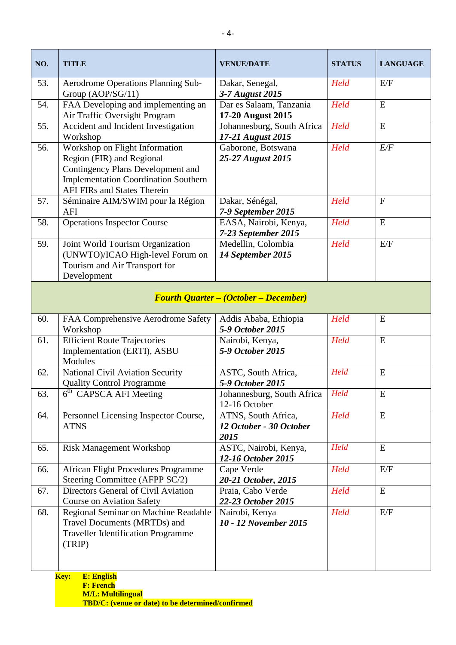| NO. | <b>TITLE</b>                                                                                                                                                                          | <b>VENUE/DATE</b>                                      | <b>STATUS</b> | <b>LANGUAGE</b> |  |  |
|-----|---------------------------------------------------------------------------------------------------------------------------------------------------------------------------------------|--------------------------------------------------------|---------------|-----------------|--|--|
| 53. | Aerodrome Operations Planning Sub-<br>Group (AOP/SG/11)                                                                                                                               | Dakar, Senegal,<br>3-7 August 2015                     | Held          | E/F             |  |  |
| 54. | FAA Developing and implementing an<br>Air Traffic Oversight Program                                                                                                                   | Dar es Salaam, Tanzania<br>17-20 August 2015           | Held          | ${\bf E}$       |  |  |
| 55. | Accident and Incident Investigation<br>Workshop                                                                                                                                       | Johannesburg, South Africa<br>17-21 August 2015        | Held          | ${\bf E}$       |  |  |
| 56. | Workshop on Flight Information<br>Region (FIR) and Regional<br>Contingency Plans Development and<br><b>Implementation Coordination Southern</b><br><b>AFI FIRs and States Therein</b> | Gaborone, Botswana<br>25-27 August 2015                | Held          | E/F             |  |  |
| 57. | Séminaire AIM/SWIM pour la Région<br>AFI                                                                                                                                              | Dakar, Sénégal,<br>7-9 September 2015                  | Held          | $\mathbf{F}$    |  |  |
| 58. | <b>Operations Inspector Course</b>                                                                                                                                                    | EASA, Nairobi, Kenya,<br>7-23 September 2015           | Held          | E               |  |  |
| 59. | Joint World Tourism Organization<br>(UNWTO)/ICAO High-level Forum on<br>Tourism and Air Transport for<br>Development                                                                  | Medellin, Colombia<br>14 September 2015                | Held          | E/F             |  |  |
|     | <b>Fourth Quarter – (October – December)</b>                                                                                                                                          |                                                        |               |                 |  |  |
| 60. | FAA Comprehensive Aerodrome Safety<br>Workshop                                                                                                                                        | Addis Ababa, Ethiopia<br>5-9 October 2015              | Held          | E               |  |  |
| 61. | <b>Efficient Route Trajectories</b><br>Implementation (ERTI), ASBU<br>Modules                                                                                                         | Nairobi, Kenya,<br>5-9 October 2015                    | Held          | ${\bf E}$       |  |  |
| 62. | National Civil Aviation Security<br><b>Quality Control Programme</b>                                                                                                                  | ASTC, South Africa,<br>5-9 October 2015                | Held          | E               |  |  |
| 63. | $\overline{6}$ <sup>th</sup> CAPSCA AFI Meeting                                                                                                                                       | Johannesburg, South Africa<br>12-16 October            | Held          | E               |  |  |
| 64. | Personnel Licensing Inspector Course,<br><b>ATNS</b>                                                                                                                                  | ATNS, South Africa,<br>12 October - 30 October<br>2015 | Held          | ${\bf E}$       |  |  |
| 65. | Risk Management Workshop                                                                                                                                                              | ASTC, Nairobi, Kenya,<br>12-16 October 2015            | Held          | ${\bf E}$       |  |  |
| 66. | <b>African Flight Procedures Programme</b><br>Steering Committee (AFPP SC/2)                                                                                                          | Cape Verde<br>20-21 October, 2015                      | Held          | E/F             |  |  |
| 67. | Directors General of Civil Aviation<br><b>Course on Aviation Safety</b>                                                                                                               | Praia, Cabo Verde<br>22-23 October 2015                | Held          | E               |  |  |
| 68. | Regional Seminar on Machine Readable<br>Travel Documents (MRTDs) and<br><b>Traveller Identification Programme</b><br>(TRIP)                                                           | Nairobi, Kenya<br>10 - 12 November 2015                | Held          | E/F             |  |  |